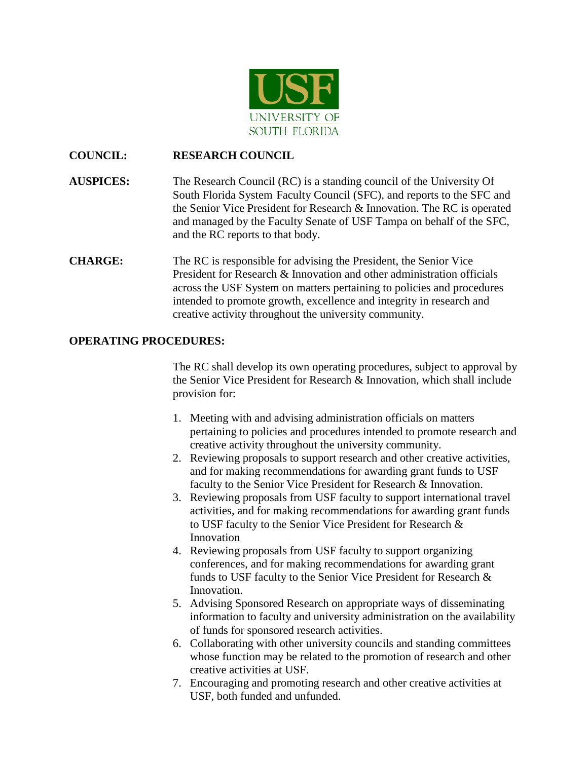

# **COUNCIL: RESEARCH COUNCIL**

**AUSPICES:** The Research Council (RC) is a standing council of the University Of South Florida System Faculty Council (SFC), and reports to the SFC and the Senior Vice President for Research & Innovation. The RC is operated and managed by the Faculty Senate of USF Tampa on behalf of the SFC, and the RC reports to that body.

# **CHARGE:** The RC is responsible for advising the President, the Senior Vice President for Research & Innovation and other administration officials across the USF System on matters pertaining to policies and procedures intended to promote growth, excellence and integrity in research and creative activity throughout the university community.

# **OPERATING PROCEDURES:**

The RC shall develop its own operating procedures, subject to approval by the Senior Vice President for Research & Innovation, which shall include provision for:

- 1. Meeting with and advising administration officials on matters pertaining to policies and procedures intended to promote research and creative activity throughout the university community.
- 2. Reviewing proposals to support research and other creative activities, and for making recommendations for awarding grant funds to USF faculty to the Senior Vice President for Research & Innovation.
- 3. Reviewing proposals from USF faculty to support international travel activities, and for making recommendations for awarding grant funds to USF faculty to the Senior Vice President for Research & Innovation
- 4. Reviewing proposals from USF faculty to support organizing conferences, and for making recommendations for awarding grant funds to USF faculty to the Senior Vice President for Research & Innovation.
- 5. Advising Sponsored Research on appropriate ways of disseminating information to faculty and university administration on the availability of funds for sponsored research activities.
- 6. Collaborating with other university councils and standing committees whose function may be related to the promotion of research and other creative activities at USF.
- 7. Encouraging and promoting research and other creative activities at USF, both funded and unfunded.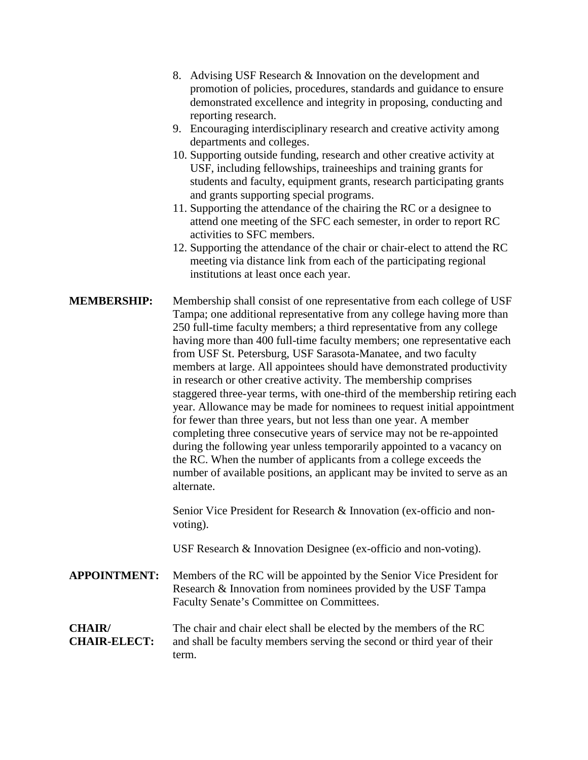- 8. Advising USF Research & Innovation on the development and promotion of policies, procedures, standards and guidance to ensure demonstrated excellence and integrity in proposing, conducting and reporting research.
- 9. Encouraging interdisciplinary research and creative activity among departments and colleges.
- 10. Supporting outside funding, research and other creative activity at USF, including fellowships, traineeships and training grants for students and faculty, equipment grants, research participating grants and grants supporting special programs.
- 11. Supporting the attendance of the chairing the RC or a designee to attend one meeting of the SFC each semester, in order to report RC activities to SFC members.
- 12. Supporting the attendance of the chair or chair-elect to attend the RC meeting via distance link from each of the participating regional institutions at least once each year.
- **MEMBERSHIP:** Membership shall consist of one representative from each college of USF Tampa; one additional representative from any college having more than 250 full-time faculty members; a third representative from any college having more than 400 full-time faculty members; one representative each from USF St. Petersburg, USF Sarasota-Manatee, and two faculty members at large. All appointees should have demonstrated productivity in research or other creative activity. The membership comprises staggered three-year terms, with one-third of the membership retiring each year. Allowance may be made for nominees to request initial appointment for fewer than three years, but not less than one year. A member completing three consecutive years of service may not be re-appointed during the following year unless temporarily appointed to a vacancy on the RC. When the number of applicants from a college exceeds the number of available positions, an applicant may be invited to serve as an alternate.

Senior Vice President for Research & Innovation (ex-officio and nonvoting).

USF Research & Innovation Designee (ex-officio and non-voting).

**APPOINTMENT:** Members of the RC will be appointed by the Senior Vice President for Research & Innovation from nominees provided by the USF Tampa Faculty Senate's Committee on Committees.

#### **CHAIR/** The chair and chair elect shall be elected by the members of the RC **CHAIR-ELECT:** and shall be faculty members serving the second or third year of their term.